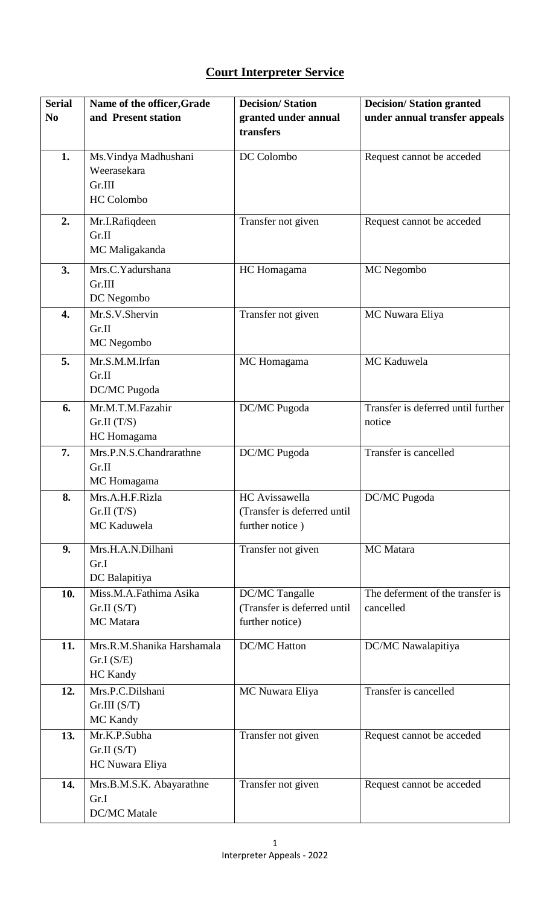## **Court Interpreter Service**

| <b>Serial</b>    | Name of the officer, Grade              | <b>Decision/Station</b>     | <b>Decision/Station granted</b>    |
|------------------|-----------------------------------------|-----------------------------|------------------------------------|
| N <sub>0</sub>   | and Present station                     | granted under annual        | under annual transfer appeals      |
|                  |                                         | transfers                   |                                    |
|                  |                                         |                             |                                    |
| 1.               | Ms. Vindya Madhushani                   | DC Colombo                  | Request cannot be acceded          |
|                  | Weerasekara                             |                             |                                    |
|                  | Gr.III                                  |                             |                                    |
|                  | <b>HC</b> Colombo                       |                             |                                    |
| 2.               | Mr.I.Rafiqdeen                          | Transfer not given          | Request cannot be acceded          |
|                  | Gr.II                                   |                             |                                    |
|                  | MC Maligakanda                          |                             |                                    |
| 3.               | $\overline{\text{Mrs. C. Y}}$ adurshana | HC Homagama                 | MC Negombo                         |
|                  | Gr.III                                  |                             |                                    |
|                  | DC Negombo                              |                             |                                    |
| $\overline{4}$ . | Mr.S.V.Shervin                          | Transfer not given          | MC Nuwara Eliya                    |
|                  | Gr.II                                   |                             |                                    |
|                  | MC Negombo                              |                             |                                    |
| 5.               | Mr.S.M.M.Irfan                          | MC Homagama                 | MC Kaduwela                        |
|                  | Gr.II                                   |                             |                                    |
|                  | DC/MC Pugoda                            |                             |                                    |
| 6.               | Mr.M.T.M.Fazahir                        | DC/MC Pugoda                | Transfer is deferred until further |
|                  | Gr.II(T/S)                              |                             | notice                             |
|                  | HC Homagama                             |                             |                                    |
| 7.               | Mrs.P.N.S.Chandrarathne                 | DC/MC Pugoda                | Transfer is cancelled              |
|                  | Gr.II                                   |                             |                                    |
|                  | MC Homagama                             |                             |                                    |
| 8.               | Mrs.A.H.F.Rizla                         | HC Avissawella              | DC/MC Pugoda                       |
|                  | Gr.II(T/S)                              | (Transfer is deferred until |                                    |
|                  | MC Kaduwela                             | further notice)             |                                    |
|                  |                                         |                             |                                    |
| 9.               | Mrs.H.A.N.Dilhani                       | Transfer not given          | MC Matara                          |
|                  | Gr.I                                    |                             |                                    |
|                  | DC Balapitiya                           |                             |                                    |
| 10.              | Miss.M.A.Fathima Asika                  | DC/MC Tangalle              | The deferment of the transfer is   |
|                  | Gr.II(S/T)<br>MC Matara                 | (Transfer is deferred until | cancelled                          |
|                  |                                         | further notice)             |                                    |
| 11.              | Mrs.R.M.Shanika Harshamala              | <b>DC/MC</b> Hatton         | DC/MC Nawalapitiya                 |
|                  | Gr.I(S/E)                               |                             |                                    |
|                  | <b>HC</b> Kandy                         |                             |                                    |
| 12.              | Mrs.P.C.Dilshani                        | MC Nuwara Eliya             | Transfer is cancelled              |
|                  | Gr.III(S/T)                             |                             |                                    |
|                  | <b>MC</b> Kandy                         |                             |                                    |
| 13.              | Mr.K.P.Subha                            | Transfer not given          | Request cannot be acceded          |
|                  | Gr.II(S/T)                              |                             |                                    |
|                  | HC Nuwara Eliya                         |                             |                                    |
| 14.              | Mrs.B.M.S.K. Abayarathne                | Transfer not given          | Request cannot be acceded          |
|                  | Gr.I                                    |                             |                                    |
|                  | <b>DC/MC</b> Matale                     |                             |                                    |
|                  |                                         |                             |                                    |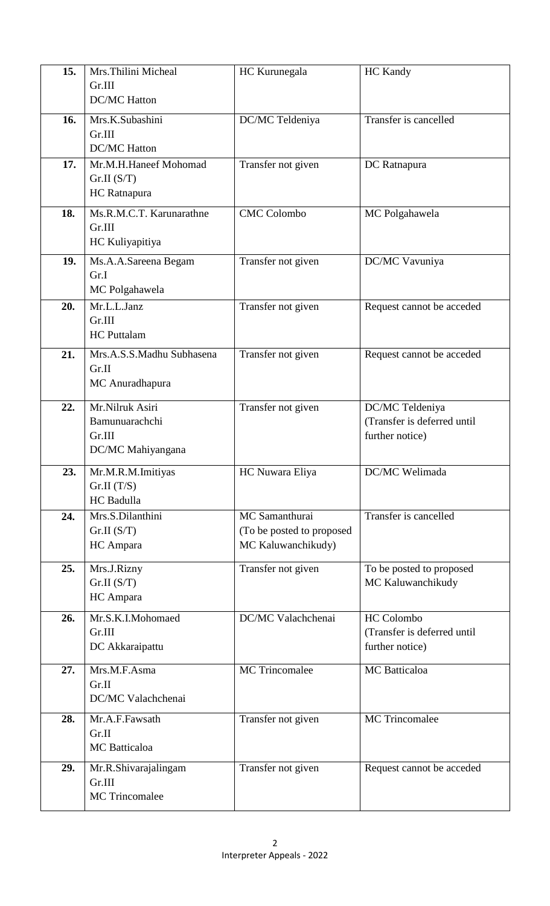| 15. | Mrs. Thilini Micheal<br>Gr.III                                   | HC Kurunegala                                                     | <b>HC</b> Kandy                                                   |
|-----|------------------------------------------------------------------|-------------------------------------------------------------------|-------------------------------------------------------------------|
| 16. | <b>DC/MC Hatton</b><br>Mrs.K.Subashini                           | DC/MC Teldeniya                                                   | Transfer is cancelled                                             |
|     | Gr.III<br><b>DC/MC Hatton</b>                                    |                                                                   |                                                                   |
| 17. | Mr.M.H.Haneef Mohomad<br>Gr.II(S/T)<br>HC Ratnapura              | Transfer not given                                                | DC Ratnapura                                                      |
| 18. | Ms.R.M.C.T. Karunarathne<br>Gr.III<br>HC Kuliyapitiya            | <b>CMC</b> Colombo                                                | MC Polgahawela                                                    |
| 19. | Ms.A.A.Sareena Begam<br>Gr.I<br>MC Polgahawela                   | Transfer not given                                                | DC/MC Vavuniya                                                    |
| 20. | Mr.L.L.Janz<br>Gr.III<br><b>HC</b> Puttalam                      | Transfer not given                                                | Request cannot be acceded                                         |
| 21. | Mrs.A.S.S.Madhu Subhasena<br>Gr.II<br>MC Anuradhapura            | Transfer not given                                                | Request cannot be acceded                                         |
| 22. | Mr.Nilruk Asiri<br>Bamunuarachchi<br>Gr.III<br>DC/MC Mahiyangana | Transfer not given                                                | DC/MC Teldeniya<br>(Transfer is deferred until<br>further notice) |
| 23. | Mr.M.R.M.Imitiyas<br>Gr.II(T/S)<br>HC Badulla                    | HC Nuwara Eliya                                                   | DC/MC Welimada                                                    |
| 24. | Mrs.S.Dilanthini<br>Gr.II(S/T)<br>HC Ampara                      | MC Samanthurai<br>(To be posted to proposed<br>MC Kaluwanchikudy) | Transfer is cancelled                                             |
| 25. | Mrs.J.Rizny<br>Gr.II(S/T)<br>HC Ampara                           | Transfer not given                                                | To be posted to proposed<br>MC Kaluwanchikudy                     |
| 26. | Mr.S.K.I.Mohomaed<br>Gr.III<br>DC Akkaraipattu                   | DC/MC Valachchenai                                                | HC Colombo<br>(Transfer is deferred until<br>further notice)      |
| 27. | Mrs.M.F.Asma<br>Gr.II<br>DC/MC Valachchenai                      | <b>MC</b> Trincomalee                                             | <b>MC</b> Batticaloa                                              |
| 28. | Mr.A.F.Fawsath<br>Gr.II<br><b>MC</b> Batticaloa                  | Transfer not given                                                | <b>MC</b> Trincomalee                                             |
| 29. | Mr.R.Shivarajalingam<br>Gr.III<br><b>MC</b> Trincomalee          | Transfer not given                                                | Request cannot be acceded                                         |